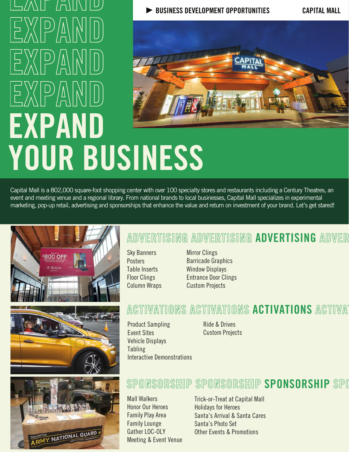# L/ANE FAIINIIU BUSINESS DEVELOPMENT OPPORTUNITIES CAPITAL MALL EXPAMD EXPAND EXPAND EXPAND YOUR BUSINESS

Capital Mall is a 802,000 square-foot shopping center with over 100 specialty stores and restaurants including a Century Theatres, an event and meeting venue and a regional library. From national brands to local businesses, Capital Mall specializes in experimental marketing, pop-up retail, advertising and sponsorships that enhance the value and return on investment of your brand. Let's get stared!







# ADVERTISING ADVERTISING ADVERTISING ADVER

Sky Banners **Posters** Table Inserts Floor Clings Column Wraps Mirror Clings Barricade Graphics Window Displays Entrance Door Clings Custom Projects

#### ACTIVATIONS ACTIVATIONS ACTIVATIONS ACTIVAT

Product Sampling Event Sites Vehicle Displays Tabling Interactive Demonstrations Ride & Drives Custom Projects

#### SPONSORSHIP SPONSORSHIP SPONSORSHIP SPO

Mall Walkers Honor Our Heroes Family Play Area Family Lounge Gather LOC-OLY Meeting & Event Venue

Trick-or-Treat at Capital Mall Holidays for Heroes Santa's Arrival & Santa Cares Santa's Photo Set Other Events & Promotions